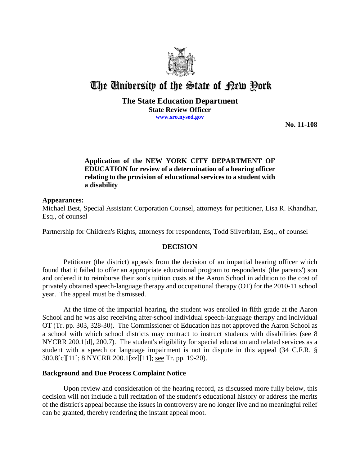

# The University of the State of Pew Pork

## **The State Education Department State Review Officer www.sro.nysed.gov**

**No. 11-108** 

## **Application of the NEW YORK CITY DEPARTMENT OF EDUCATION for review of a determination of a hearing officer relating to the provision of educational services to a student with a disability**

## **Appearances:**

Michael Best, Special Assistant Corporation Counsel, attorneys for petitioner, Lisa R. Khandhar, Esq., of counsel

Partnership for Children's Rights, attorneys for respondents, Todd Silverblatt, Esq., of counsel

## **DECISION**

Petitioner (the district) appeals from the decision of an impartial hearing officer which found that it failed to offer an appropriate educational program to respondents' (the parents') son and ordered it to reimburse their son's tuition costs at the Aaron School in addition to the cost of privately obtained speech-language therapy and occupational therapy (OT) for the 2010-11 school year. The appeal must be dismissed.

At the time of the impartial hearing, the student was enrolled in fifth grade at the Aaron School and he was also receiving after-school individual speech-language therapy and individual OT (Tr. pp. 303, 328-30). The Commissioner of Education has not approved the Aaron School as a school with which school districts may contract to instruct students with disabilities (see 8 NYCRR 200.1[d], 200.7). The student's eligibility for special education and related services as a student with a speech or language impairment is not in dispute in this appeal (34 C.F.R. § 300.8[c][11]; 8 NYCRR 200.1[zz][11]; see Tr. pp. 19-20).

#### **Background and Due Process Complaint Notice**

Upon review and consideration of the hearing record, as discussed more fully below, this decision will not include a full recitation of the student's educational history or address the merits of the district's appeal because the issues in controversy are no longer live and no meaningful relief can be granted, thereby rendering the instant appeal moot.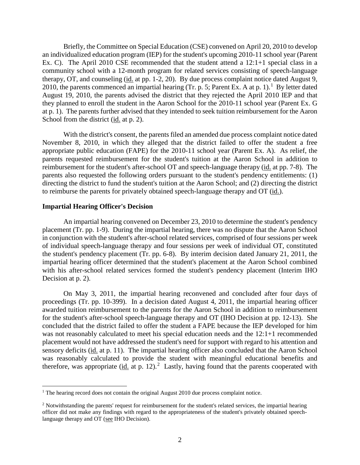Briefly, the Committee on Special Education (CSE) convened on April 20, 2010 to develop an individualized education program (IEP) for the student's upcoming 2010-11 school year (Parent Ex. C). The April 2010 CSE recommended that the student attend a 12:1+1 special class in a community school with a 12-month program for related services consisting of speech-language therapy, OT, and counseling (id. at pp. 1-2, 20). By due process complaint notice dated August 9, 2010, the parents commenced an impartial hearing (Tr. p. 5; Parent Ex. A at p. 1).<sup>1</sup> By letter dated August 19, 2010, the parents advised the district that they rejected the April 2010 IEP and that they planned to enroll the student in the Aaron School for the 2010-11 school year (Parent Ex. G at p. 1). The parents further advised that they intended to seek tuition reimbursement for the Aaron School from the district (id. at p. 2).

With the district's consent, the parents filed an amended due process complaint notice dated November 8, 2010, in which they alleged that the district failed to offer the student a free appropriate public education (FAPE) for the 2010-11 school year (Parent Ex. A). As relief, the parents requested reimbursement for the student's tuition at the Aaron School in addition to reimbursement for the student's after-school OT and speech-language therapy (id. at pp. 7-8). The parents also requested the following orders pursuant to the student's pendency entitlements: (1) directing the district to fund the student's tuition at the Aaron School; and (2) directing the district to reimburse the parents for privately obtained speech-language therapy and OT (id.).

#### **Impartial Hearing Officer's Decision**

An impartial hearing convened on December 23, 2010 to determine the student's pendency placement (Tr. pp. 1-9). During the impartial hearing, there was no dispute that the Aaron School in conjunction with the student's after-school related services, comprised of four sessions per week of individual speech-language therapy and four sessions per week of individual OT, constituted the student's pendency placement (Tr. pp. 6-8). By interim decision dated January 21, 2011, the impartial hearing officer determined that the student's placement at the Aaron School combined with his after-school related services formed the student's pendency placement (Interim IHO Decision at p. 2).

On May 3, 2011, the impartial hearing reconvened and concluded after four days of proceedings (Tr. pp. 10-399). In a decision dated August 4, 2011, the impartial hearing officer awarded tuition reimbursement to the parents for the Aaron School in addition to reimbursement for the student's after-school speech-language therapy and OT (IHO Decision at pp. 12-13). She concluded that the district failed to offer the student a FAPE because the IEP developed for him was not reasonably calculated to meet his special education needs and the 12:1+1 recommended placement would not have addressed the student's need for support with regard to his attention and sensory deficits (id. at p. 11). The impartial hearing officer also concluded that the Aaron School was reasonably calculated to provide the student with meaningful educational benefits and therefore, was appropriate  $(id.$  at p. 12).<sup>2</sup> Lastly, having found that the parents cooperated with

<sup>&</sup>lt;sup>1</sup> The hearing record does not contain the original August 2010 due process complaint notice.

 $2$  Notwithstanding the parents' request for reimbursement for the student's related services, the impartial hearing officer did not make any findings with regard to the appropriateness of the student's privately obtained speechlanguage therapy and OT (see IHO Decision).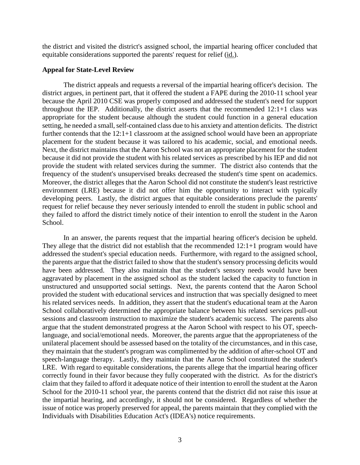the district and visited the district's assigned school, the impartial hearing officer concluded that equitable considerations supported the parents' request for relief (id.).

#### **Appeal for State-Level Review**

The district appeals and requests a reversal of the impartial hearing officer's decision. The district argues, in pertinent part, that it offered the student a FAPE during the 2010-11 school year because the April 2010 CSE was properly composed and addressed the student's need for support throughout the IEP. Additionally, the district asserts that the recommended 12:1+1 class was appropriate for the student because although the student could function in a general education setting, he needed a small, self-contained class due to his anxiety and attention deficits. The district further contends that the 12:1+1 classroom at the assigned school would have been an appropriate placement for the student because it was tailored to his academic, social, and emotional needs. Next, the district maintains that the Aaron School was not an appropriate placement for the student because it did not provide the student with his related services as prescribed by his IEP and did not provide the student with related services during the summer. The district also contends that the frequency of the student's unsupervised breaks decreased the student's time spent on academics. Moreover, the district alleges that the Aaron School did not constitute the student's least restrictive environment (LRE) because it did not offer him the opportunity to interact with typically developing peers. Lastly, the district argues that equitable considerations preclude the parents' request for relief because they never seriously intended to enroll the student in public school and they failed to afford the district timely notice of their intention to enroll the student in the Aaron School.

In an answer, the parents request that the impartial hearing officer's decision be upheld. They allege that the district did not establish that the recommended 12:1+1 program would have addressed the student's special education needs. Furthermore, with regard to the assigned school, the parents argue that the district failed to show that the student's sensory processing deficits would have been addressed. They also maintain that the student's sensory needs would have been aggravated by placement in the assigned school as the student lacked the capacity to function in unstructured and unsupported social settings. Next, the parents contend that the Aaron School provided the student with educational services and instruction that was specially designed to meet his related services needs. In addition, they assert that the student's educational team at the Aaron School collaboratively determined the appropriate balance between his related services pull-out sessions and classroom instruction to maximize the student's academic success. The parents also argue that the student demonstrated progress at the Aaron School with respect to his OT, speechlanguage, and social/emotional needs. Moreover, the parents argue that the appropriateness of the unilateral placement should be assessed based on the totality of the circumstances, and in this case, they maintain that the student's program was complimented by the addition of after-school OT and speech-language therapy. Lastly, they maintain that the Aaron School constituted the student's LRE. With regard to equitable considerations, the parents allege that the impartial hearing officer correctly found in their favor because they fully cooperated with the district. As for the district's claim that they failed to afford it adequate notice of their intention to enroll the student at the Aaron School for the 2010-11 school year, the parents contend that the district did not raise this issue at the impartial hearing, and accordingly, it should not be considered. Regardless of whether the issue of notice was properly preserved for appeal, the parents maintain that they complied with the Individuals with Disabilities Education Act's (IDEA's) notice requirements.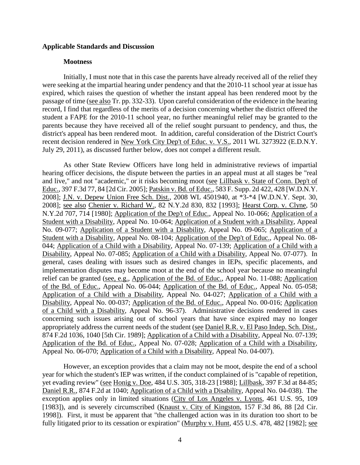#### **Applicable Standards and Discussion**

#### **Mootness**

Initially, I must note that in this case the parents have already received all of the relief they were seeking at the impartial hearing under pendency and that the 2010-11 school year at issue has expired, which raises the question of whether the instant appeal has been rendered moot by the passage of time (see also Tr. pp. 332-33). Upon careful consideration of the evidence in the hearing record, I find that regardless of the merits of a decision concerning whether the district offered the student a FAPE for the 2010-11 school year, no further meaningful relief may be granted to the parents because they have received all of the relief sought pursuant to pendency, and thus, the district's appeal has been rendered moot. In addition, careful consideration of the District Court's recent decision rendered in New York City Dep't of Educ. v. V.S., 2011 WL 3273922 (E.D.N.Y. July 29, 2011), as discussed further below, does not compel a different result.

As other State Review Officers have long held in administrative reviews of impartial hearing officer decisions, the dispute between the parties in an appeal must at all stages be "real and live," and not "academic," or it risks becoming moot (see Lillbask v. State of Conn. Dep't of Educ., 397 F.3d 77, 84 [2d Cir. 2005]; Patskin v. Bd. of Educ., 583 F. Supp. 2d 422, 428 [W.D.N.Y. 2008]; J.N. v. Depew Union Free Sch. Dist., 2008 WL 4501940, at \*3-\*4 [W.D.N.Y. Sept. 30, 2008]; see also Chenier v. Richard W., 82 N.Y.2d 830, 832 [1993]; Hearst Corp. v. Clyne, 50 N.Y.2d 707, 714 [1980]; Application of the Dep't of Educ., Appeal No. 10-066; Application of a Student with a Disability, Appeal No. 10-064; Application of a Student with a Disability, Appeal No. 09-077; Application of a Student with a Disability, Appeal No. 09-065; Application of a Student with a Disability, Appeal No. 08-104; Application of the Dep't of Educ., Appeal No. 08- 044; Application of a Child with a Disability, Appeal No. 07-139; Application of a Child with a Disability, Appeal No. 07-085; Application of a Child with a Disability, Appeal No. 07-077). In general, cases dealing with issues such as desired changes in IEPs, specific placements, and implementation disputes may become moot at the end of the school year because no meaningful relief can be granted (see, e.g., Application of the Bd. of Educ., Appeal No. 11-088; Application of the Bd. of Educ., Appeal No. 06-044; Application of the Bd. of Educ., Appeal No. 05-058; Application of a Child with a Disability, Appeal No. 04-027; Application of a Child with a Disability, Appeal No. 00-037; Application of the Bd. of Educ., Appeal No. 00-016; Application of a Child with a Disability, Appeal No. 96-37). Administrative decisions rendered in cases concerning such issues arising out of school years that have since expired may no longer appropriately address the current needs of the student (see Daniel R.R. v. El Paso Indep. Sch. Dist., 874 F.2d 1036, 1040 [5th Cir. 1989]; Application of a Child with a Disability, Appeal No. 07-139; Application of the Bd. of Educ., Appeal No. 07-028; Application of a Child with a Disability, Appeal No. 06-070; Application of a Child with a Disability, Appeal No. 04-007).

However, an exception provides that a claim may not be moot, despite the end of a school year for which the student's IEP was written, if the conduct complained of is "capable of repetition, yet evading review" (see Honig v. Doe, 484 U.S. 305, 318-23 [1988]; Lillbask, 397 F.3d at 84-85; Daniel R.R., 874 F.2d at 1040; Application of a Child with a Disability, Appeal No. 04-038). The exception applies only in limited situations (City of Los Angeles v. Lyons, 461 U.S. 95, 109 [1983]), and is severely circumscribed (Knaust v. City of Kingston, 157 F.3d 86, 88 [2d Cir. 1998]). First, it must be apparent that "the challenged action was in its duration too short to be fully litigated prior to its cessation or expiration" (Murphy v. Hunt, 455 U.S. 478, 482 [1982]; see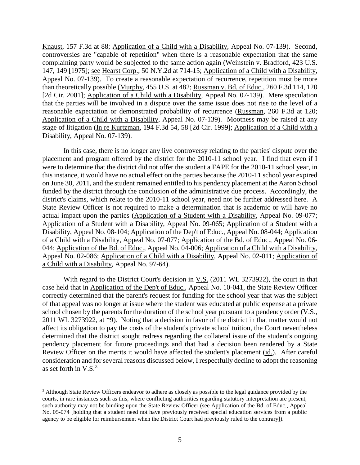Knaust, 157 F.3d at 88; Application of a Child with a Disability, Appeal No. 07-139). Second, controversies are "capable of repetition" when there is a reasonable expectation that the same complaining party would be subjected to the same action again (Weinstein v. Bradford, 423 U.S. 147, 149 [1975]; see Hearst Corp., 50 N.Y.2d at 714-15; Application of a Child with a Disability, Appeal No. 07-139). To create a reasonable expectation of recurrence, repetition must be more than theoretically possible (Murphy, 455 U.S. at 482; Russman v. Bd. of Educ., 260 F.3d 114, 120 [2d Cir. 2001]; Application of a Child with a Disability, Appeal No. 07-139). Mere speculation that the parties will be involved in a dispute over the same issue does not rise to the level of a reasonable expectation or demonstrated probability of recurrence (Russman, 260 F.3d at 120; Application of a Child with a Disability, Appeal No. 07-139). Mootness may be raised at any stage of litigation (In re Kurtzman, 194 F.3d 54, 58 [2d Cir. 1999]; Application of a Child with a Disability, Appeal No. 07-139).

In this case, there is no longer any live controversy relating to the parties' dispute over the placement and program offered by the district for the 2010-11 school year. I find that even if I were to determine that the district did not offer the student a FAPE for the 2010-11 school year, in this instance, it would have no actual effect on the parties because the 2010-11 school year expired on June 30, 2011, and the student remained entitled to his pendency placement at the Aaron School funded by the district through the conclusion of the administrative due process. Accordingly, the district's claims, which relate to the 2010-11 school year, need not be further addressed here. A State Review Officer is not required to make a determination that is academic or will have no actual impact upon the parties (Application of a Student with a Disability, Appeal No. 09-077; Application of a Student with a Disability, Appeal No. 09-065; Application of a Student with a Disability, Appeal No. 08-104; Application of the Dep't of Educ., Appeal No. 08-044; Application of a Child with a Disability, Appeal No. 07-077; Application of the Bd. of Educ., Appeal No. 06- 044; Application of the Bd. of Educ., Appeal No. 04-006; Application of a Child with a Disability, Appeal No. 02-086; Application of a Child with a Disability, Appeal No. 02-011; Application of a Child with a Disability, Appeal No. 97-64).

With regard to the District Court's decision in  $V.S.$  (2011 WL 3273922), the court in that case held that in Application of the Dep't of Educ., Appeal No. 10-041, the State Review Officer correctly determined that the parent's request for funding for the school year that was the subject of that appeal was no longer at issue where the student was educated at public expense at a private school chosen by the parents for the duration of the school year pursuant to a pendency order (V.S., 2011 WL 3273922, at \*9). Noting that a decision in favor of the district in that matter would not affect its obligation to pay the costs of the student's private school tuition, the Court nevertheless determined that the district sought redress regarding the collateral issue of the student's ongoing pendency placement for future proceedings and that had a decision been rendered by a State Review Officer on the merits it would have affected the student's placement (id.). After careful consideration and for several reasons discussed below, I respectfully decline to adopt the reasoning as set forth in V.S. $3$ 

<sup>&</sup>lt;sup>3</sup> Although State Review Officers endeavor to adhere as closely as possible to the legal guidance provided by the courts, in rare instances such as this, where conflicting authorities regarding statutory interpretation are present, such authority may not be binding upon the State Review Officer (see Application of the Bd. of Educ., Appeal No. 05-074 [holding that a student need not have previously received special education services from a public agency to be eligible for reimbursement when the District Court had previously ruled to the contrary]).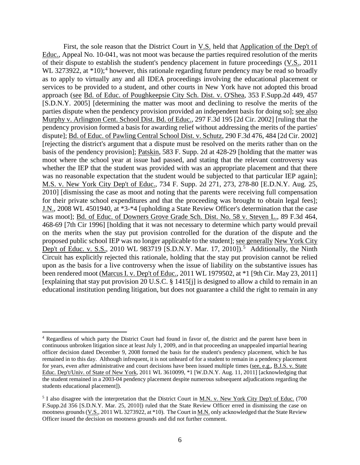First, the sole reason that the District Court in V.S. held that Application of the Dep't of Educ., Appeal No. 10-041, was not moot was because the parties required resolution of the merits of their dispute to establish the student's pendency placement in future proceedings (V.S., 2011 WL 3273922, at  $*10$ ;<sup>4</sup> however, this rationale regarding future pendency may be read so broadly as to apply to virtually any and all IDEA proceedings involving the educational placement or services to be provided to a student, and other courts in New York have not adopted this broad approach (see Bd. of Educ. of Poughkeepsie City Sch. Dist. v. O'Shea, 353 F.Supp.2d 449, 457 [S.D.N.Y. 2005] [determining the matter was moot and declining to resolve the merits of the parties dispute when the pendency provision provided an independent basis for doing so]; see also Murphy v. Arlington Cent. School Dist. Bd. of Educ., 297 F.3d 195 [2d Cir. 2002] [ruling that the pendency provision formed a basis for awarding relief without addressing the merits of the parties' dispute]; Bd. of Educ. of Pawling Central School Dist. v. Schutz, 290 F.3d 476, 484 [2d Cir. 2002] [rejecting the district's argument that a dispute must be resolved on the merits rather than on the basis of the pendency provision]; Patskin, 583 F. Supp. 2d at 428-29 [holding that the matter was moot where the school year at issue had passed, and stating that the relevant controversy was whether the IEP that the student was provided with was an appropriate placement and that there was no reasonable expectation that the student would be subjected to that particular IEP again]; M.S. v. New York City Dep't of Educ., 734 F. Supp. 2d 271, 273, 278-80 [E.D.N.Y. Aug. 25, 2010] [dismissing the case as moot and noting that the parents were receiving full compensation for their private school expenditures and that the proceeding was brought to obtain legal fees]; J.N., 2008 WL 4501940, at \*3-\*4 [upholding a State Review Officer's determination that the case was moot]; Bd. of Educ. of Downers Grove Grade Sch. Dist. No. 58 v. Steven L., 89 F.3d 464, 468-69 [7th Cir 1996] [holding that it was not necessary to determine which party would prevail on the merits when the stay put provision controlled for the duration of the dispute and the proposed public school IEP was no longer applicable to the student]; see generally New York City Dep't of Educ. v. S.S., 2010 WL 983719 [S.D.N.Y. Mar. 17, 2010]).<sup>5</sup> Additionally, the Ninth Circuit has explicitly rejected this rationale, holding that the stay put provision cannot be relied upon as the basis for a live controversy when the issue of liability on the substantive issues has been rendered moot (Marcus I. v. Dep't of Educ., 2011 WL 1979502, at \*1 [9th Cir. May 23, 2011] [explaining that stay put provision 20 U.S.C. § 1415[j] is designed to allow a child to remain in an educational institution pending litigation, but does not guarantee a child the right to remain in any

 <sup>4</sup> Regardless of which party the District Court had found in favor of, the district and the parent have been in continuous unbroken litigation since at least July 1, 2009, and in that proceeding an unappealed impartial hearing officer decision dated December 9, 2008 formed the basis for the student's pendency placement, which he has remained in to this day. Although infrequent, it is not unheard of for a student to remain in a pendency placement for years, even after administrative and court decisions have been issued multiple times (see, e.g., B.J.S. v. State Educ. Dep't/Univ. of State of New York, 2011 WL 3610099, \*1 [W.D.N.Y. Aug. 11, 2011] [acknowledging that the student remained in a 2003-04 pendency placement despite numerous subsequent adjudications regarding the students educational placement]).

<sup>&</sup>lt;sup>5</sup> I also disagree with the interpretation that the District Court in <u>M.N. v. New York City Dep't of Educ.</u> (700 F.Supp.2d 356 [S.D.N.Y. Mar. 25, 2010]) ruled that the State Review Officer erred in dismissing the case on mootness grounds (V.S., 2011 WL 3273922, at \*10). The Court in M.N. only acknowledged that the State Review Officer issued the decision on mootness grounds and did not further comment.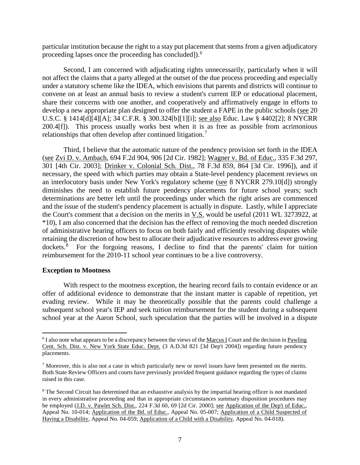particular institution because the right to a stay put placement that stems from a given adjudicatory proceeding lapses once the proceeding has concluded]).<sup>6</sup>

Second, I am concerned with adjudicating rights unnecessarily, particularly when it will not affect the claims that a party alleged at the outset of the due process proceeding and especially under a statutory scheme like the IDEA, which envisions that parents and districts will continue to convene on at least an annual basis to review a student's current IEP or educational placement, share their concerns with one another, and cooperatively and affirmatively engage in efforts to develop a new appropriate plan designed to offer the student a FAPE in the public schools (see 20 U.S.C. § 1414[d][4][A]; 34 C.F.R. § 300.324[b][1][i]; see also Educ. Law § 4402[2]; 8 NYCRR 200.4[f]). This process usually works best when it is as free as possible from acrimonious relationships that often develop after continued litigation.<sup>7</sup>

Third, I believe that the automatic nature of the pendency provision set forth in the IDEA (see Zvi D. v. Ambach, 694 F.2d 904, 906 [2d Cir. 1982]; Wagner v. Bd. of Educ., 335 F.3d 297, 301 [4th Cir. 2003]; Drinker v. Colonial Sch. Dist., 78 F.3d 859, 864 [3d Cir. 1996]), and if necessary, the speed with which parties may obtain a State-level pendency placement reviews on an interlocutory basis under New York's regulatory scheme (see 8 NYCRR 279.10[d]) strongly diminishes the need to establish future pendency placements for future school years; such determinations are better left until the proceedings under which the right arises are commenced and the issue of the student's pendency placement is actually in dispute. Lastly, while I appreciate the Court's comment that a decision on the merits in V.S. would be useful (2011 WL 3273922, at \*10), I am also concerned that the decision has the effect of removing the much needed discretion of administrative hearing officers to focus on both fairly and efficiently resolving disputes while retaining the discretion of how best to allocate their adjudicative resources to address ever growing dockets.<sup>8</sup> For the forgoing reasons, I decline to find that the parents' claim for tuition reimbursement for the 2010-11 school year continues to be a live controversy.

#### **Exception to Mootness**

With respect to the mootness exception, the hearing record fails to contain evidence or an offer of additional evidence to demonstrate that the instant matter is capable of repetition, yet evading review. While it may be theoretically possible that the parents could challenge a subsequent school year's IEP and seek tuition reimbursement for the student during a subsequent school year at the Aaron School, such speculation that the parties will be involved in a dispute

 <sup>6</sup> I also note what appears to be a discrepancy between the views of the Marcus I Court and the decision in Pawling Cent. Sch. Dist. v. New York State Educ. Dept. (3 A.D.3d 821 [3d Dep't 2004]) regarding future pendency placements.

 $<sup>7</sup>$  Moreover, this is also not a case in which particularly new or novel issues have been presented on the merits.</sup> Both State Review Officers and courts have previously provided frequent guidance regarding the types of claims raised in this case.

<sup>&</sup>lt;sup>8</sup> The Second Circuit has determined that an exhaustive analysis by the impartial hearing officer is not mandated in every administrative proceeding and that in appropriate circumstances summary disposition procedures may be employed (J.D. v. Pawlet Sch. Dist., 224 F.3d 60, 69 [2d Cir. 2000]; see Application of the Dep't of Educ., Appeal No. 10-014; Application of the Bd. of Educ., Appeal No. 05-007; Application of a Child Suspected of Having a Disability, Appeal No. 04-059; Application of a Child with a Disability, Appeal No. 04-018).